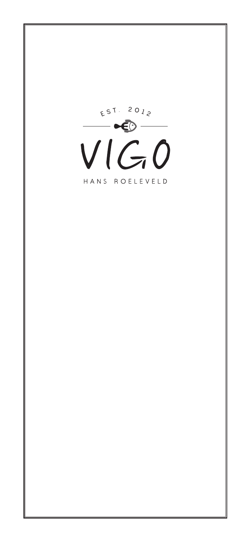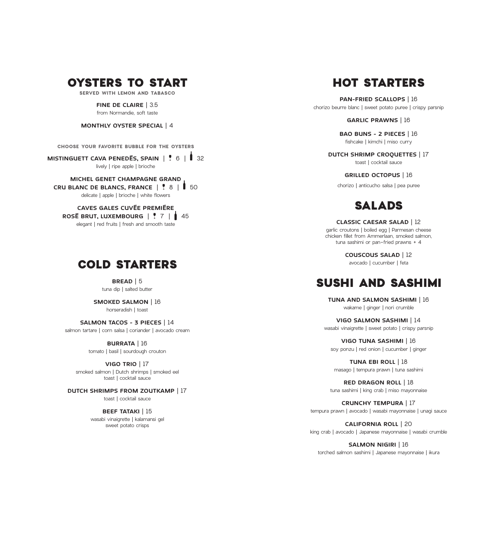### OYSTERS TO START

**SERVED WITH LEMON AND TABASCO**

**FINE DE CLAIRE**  | 3.5 from Normandie, soft taste

**MONTHLY OYSTER SPECIAL**  | 4

**CHOOSE YOUR FAVORITE BUBBLE FOR THE OYSTERS**

**MISTINGUETT CAVA PENEDÉS, SPAIN**  | 6 | 32 lively | ripe apple | brioche

**MICHEL GENET CHAMPAGNE GRAND CRU BLANC DE BLANCS, FRANCE**  | 8 | 50 delicate | apple | brioche | white flowers

**CAVES GALES CUVÉE PREMIÉRE ROSÉ BRUT, LUXEMBOURG**  | 7 | 45 elegant | red fruits | fresh and smooth taste

### COLD STARTERS

**BREAD**  | 5 tuna dip | salted butter

**SMOKED SALMON**  | 16 horseradish | toast

**SALMON TACOS - 3 PIECES**  | 14 salmon tartare | corn salsa | coriander | avocado cream

> **BURRATA**  | 16 tomato | basil | sourdough crouton

**VIGO TRIO**  | 17 smoked salmon | Dutch shrimps | smoked eel toast | cocktail sauce

**DUTCH SHRIMPS FROM ZOUTKAMP**  | 17 toast | cocktail sauce

> **BEEF TATAKI | 15** wasabi vinaigrette | kalamansi gel sweet potato crisps

# HOT STARTERS

**PAN-FRIED SCALLOPS**  | 16 chorizo beurre blanc | sweet potato puree | crispy parsnip

**GARLIC PRAWNS**  | 16

**BAO BUNS - 2 PIECES**  | 16 fishcake | kimchi | miso curry

**DUTCH SHRIMP CROQUETTES**  | 17 toast | cocktail sauce

**GRILLED OCTOPUS**  | 16

chorizo | anticucho salsa | pea puree

# SALADS

**CLASSIC CAESAR SALAD**  | 12 garlic croutons | boiled egg | Parmesan cheese

chicken fillet from Ammerlaan, smoked salmon, tuna sashimi or pan-fried prawns + 4

> **COUSCOUS SALAD**  | 12 avocado | cucumber | feta

### SUSHI AND SASHIMI

**TUNA AND SALMON SASHIMI**  | 16 wakame | ginger | nori crumble

**VIGO SALMON SASHIMI**  | 14 wasabi vinaigrette | sweet potato | crispy parsnip

**VIGO TUNA SASHIMI**  | 16 soy ponzu | red onion | cucumber | ginger

**TUNA EBI ROLL**  | 18 masago | tempura prawn | tuna sashimi

**RED DRAGON ROLL**  | 18 tuna sashimi | king crab | miso mayonnaise

**CRUNCHY TEMPURA**  | 17 tempura prawn | avocado | wasabi mayonnaise | unagi sauce

**CALIFORNIA ROLL**  | 20 king crab | avocado | Japanese mayonnaise | wasabi crumble

**SALMON NIGIRI**  | 16 torched salmon sashimi | Japanese mayonnaise | ikura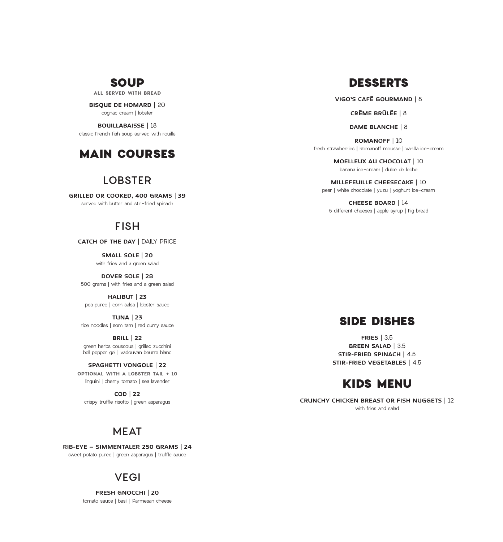# DESSERTS

**VIGO'S CAFÉ GOURMAND** | 8

**CRÈME BRÛLÉE** | 8

**DAME BLANCHE** | 8

**ROMANOFF** | 10 fresh strawberries | Romanoff mousse | vanilla ice-cream

> **MOELLEUX AU CHOCOLAT** | 10 banana ice-cream | dulce de leche

**MILLEFEUILLE CHEESECAKE** | 10 pear | white chocolate | yuzu | yoghurt ice-cream

**CHEESE BOARD** | 14 5 different cheeses | apple syrup | Fig bread

#### SIDE DISHES

**FRIES** | 3.5 **GREEN SALAD** | 3.5 **STIR-FRIED SPINACH** | 4.5 **STIR-FRIED VEGETABLES** | 4.5

### KIDS MENU

**CRUNCHY CHICKEN BREAST OR FISH NUGGETS** | 12 with fries and salad

### SOUP

**ALL SERVED WITH BREAD**

**BISQUE DE HOMARD** | 20 cognac cream | lobster

**BOUILLABAISSE** | 18 classic French fish soup served with rouille

### MAIN COURSES

#### LOBSTER

**GRILLED OR COOKED, 400 GRAMS** | **39**  served with butter and stir-fried spinach

#### FISH

**CATCH OF THE DAY** | DAILY PRICE

**SMALL SOLE** | **20**  with fries and a green salad

**DOVER SOLE** | **28**  500 grams | with fries and a green salad

**HALIBUT** | **23**  pea puree | corn salsa | lobster sauce

**TUNA** | **23**  rice noodles | som tam | red curry sauce

**BRILL** | **22**  green herbs couscous | grilled zucchini bell pepper gel | vadouvan beurre blanc

**SPAGHETTI VONGOLE** | **22 OPTIONAL WITH A LOBSTER TAIL + 10** linguini | cherry tomato | sea lavender

**COD** | **22**  crispy truffle risotto | green asparagus

### MEAT

**RIB-EYE – SIMMENTALER 250 GRAMS** | **24**  sweet potato puree | green asparagus | truffle sauce

#### VEGI

**FRESH GNOCCHI** | **20**  tomato sauce | basil | Parmesan cheese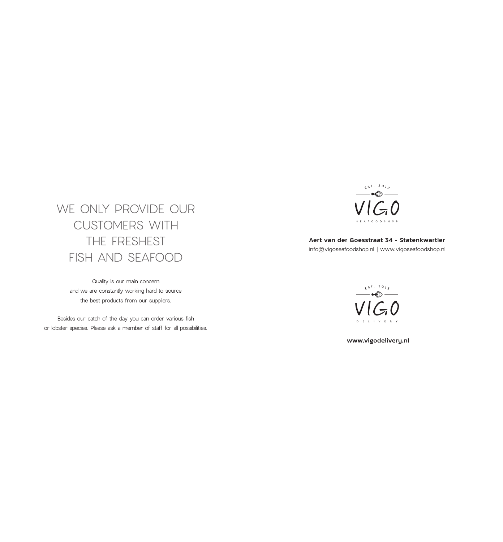# WE ONLY PROVIDE OUR CUSTOMERS WITH THE FRESHEST FISH AND SEAFOOD

Quality is our main concern and we are constantly working hard to source the best products from our suppliers.

Besides our catch of the day you can order various fish or lobster species. Please ask a member of staff for all possibilities.



**Aert van der Goesstraat 34 - Statenkwartier** info@vigoseafoodshop.nl | www.vigoseafoodshop.nl



 **www.vigodelivery.nl**